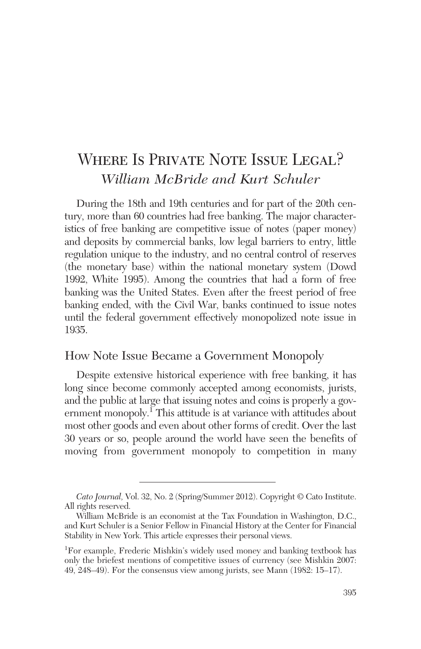# WHERE IS PRIVATE NOTE ISSUE LEGAL? *William McBride and Kurt Schuler*

During the 18th and 19th centuries and for part of the 20th century, more than 60 countries had free banking. The major characteristics of free banking are competitive issue of notes (paper money) and deposits by commercial banks, low legal barriers to entry, little regulation unique to the industry, and no central control of reserves (the monetary base) within the national monetary system (Dowd 1992, White 1995). Among the countries that had a form of free banking was the United States. Even after the freest period of free banking ended, with the Civil War, banks continued to issue notes until the federal government effectively monopolized note issue in 1935.

### How Note Issue Became a Government Monopoly

Despite extensive historical experience with free banking, it has long since become commonly accepted among economists, jurists, and the public at large that issuing notes and coins is properly a government monopoly.<sup> $I$ </sup>This attitude is at variance with attitudes about most other goods and even about other forms of credit. Over the last 30 years or so, people around the world have seen the benefits of moving from government monopoly to competition in many

*Cato Journal,* Vol. 32, No. 2 (Spring/Summer 2012). Copyright © Cato Institute. All rights reserved.

William McBride is an economist at the Tax Foundation in Washington, D.C., and Kurt Schuler is a Senior Fellow in Financial History at the Center for Financial Stability in New York. This article expresses their personal views.

<sup>1</sup> For example, Frederic Mishkin's widely used money and banking textbook has only the briefest mentions of competitive issues of currency (see Mishkin 2007: 49, 248–49). For the consensus view among jurists, see Mann (1982: 15–17).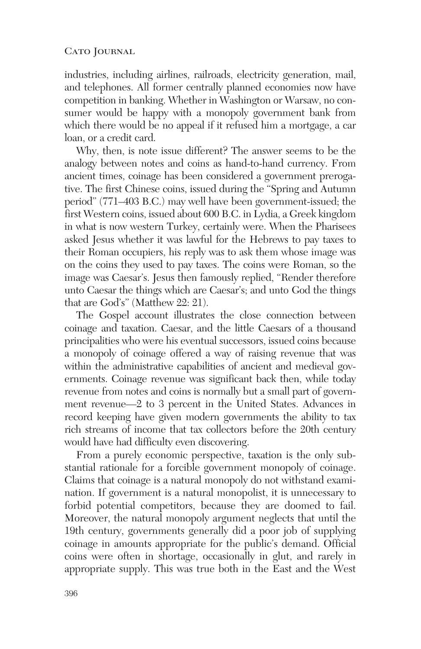industries, including airlines, railroads, electricity generation, mail, and telephones. All former centrally planned economies now have competition in banking. Whether in Washington or Warsaw, no consumer would be happy with a monopoly government bank from which there would be no appeal if it refused him a mortgage, a car loan, or a credit card.

Why, then, is note issue different? The answer seems to be the analogy between notes and coins as hand-to-hand currency. From ancient times, coinage has been considered a government prerogative. The first Chinese coins, issued during the "Spring and Autumn period" (771–403 B.C.) may well have been government-issued; the first Western coins, issued about 600 B.C. in Lydia, a Greek kingdom in what is now western Turkey, certainly were. When the Pharisees asked Jesus whether it was lawful for the Hebrews to pay taxes to their Roman occupiers, his reply was to ask them whose image was on the coins they used to pay taxes. The coins were Roman, so the image was Caesar's. Jesus then famously replied, "Render therefore unto Caesar the things which are Caesar's; and unto God the things that are God's" (Matthew 22: 21).

The Gospel account illustrates the close connection between coinage and taxation. Caesar, and the little Caesars of a thousand principalities who were his eventual successors, issued coins because a monopoly of coinage offered a way of raising revenue that was within the administrative capabilities of ancient and medieval governments. Coinage revenue was significant back then, while today revenue from notes and coins is normally but a small part of government revenue—2 to 3 percent in the United States. Advances in record keeping have given modern governments the ability to tax rich streams of income that tax collectors before the 20th century would have had difficulty even discovering.

From a purely economic perspective, taxation is the only substantial rationale for a forcible government monopoly of coinage. Claims that coinage is a natural monopoly do not withstand examination. If government is a natural monopolist, it is unnecessary to forbid potential competitors, because they are doomed to fail. Moreover, the natural monopoly argument neglects that until the 19th century, governments generally did a poor job of supplying coinage in amounts appropriate for the public's demand. Official coins were often in shortage, occasionally in glut, and rarely in appropriate supply. This was true both in the East and the West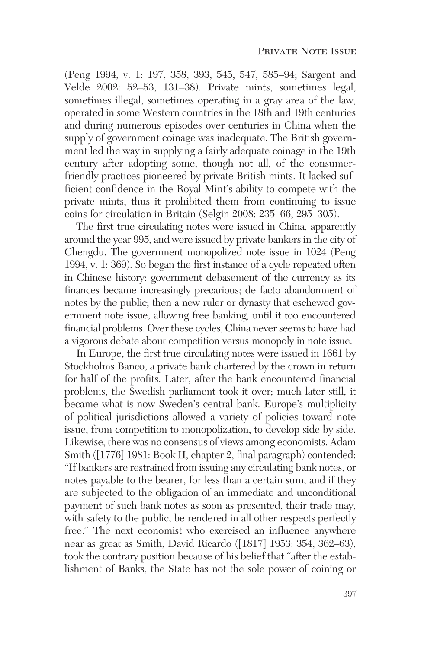(Peng 1994, v. 1: 197, 358, 393, 545, 547, 585–94; Sargent and Velde 2002: 52–53, 131–38). Private mints, sometimes legal, sometimes illegal, sometimes operating in a gray area of the law, operated in some Western countries in the 18th and 19th centuries and during numerous episodes over centuries in China when the supply of government coinage was inadequate. The British government led the way in supplying a fairly adequate coinage in the 19th century after adopting some, though not all, of the consumerfriendly practices pioneered by private British mints. It lacked sufficient confidence in the Royal Mint's ability to compete with the private mints, thus it prohibited them from continuing to issue coins for circulation in Britain (Selgin 2008: 235–66, 295–305).

The first true circulating notes were issued in China, apparently around the year 995, and were issued by private bankers in the city of Chengdu. The government monopolized note issue in 1024 (Peng 1994, v. 1: 369). So began the first instance of a cycle repeated often in Chinese history: government debasement of the currency as its finances became increasingly precarious; de facto abandonment of notes by the public; then a new ruler or dynasty that eschewed government note issue, allowing free banking, until it too encountered financial problems. Over these cycles, China never seems to have had a vigorous debate about competition versus monopoly in note issue.

In Europe, the first true circulating notes were issued in 1661 by Stockholms Banco, a private bank chartered by the crown in return for half of the profits. Later, after the bank encountered financial problems, the Swedish parliament took it over; much later still, it became what is now Sweden's central bank. Europe's multiplicity of political jurisdictions allowed a variety of policies toward note issue, from competition to monopolization, to develop side by side. Likewise, there was no consensus of views among economists. Adam Smith ([1776] 1981: Book II, chapter 2, final paragraph) contended: "If bankers are restrained from issuing any circulating bank notes, or notes payable to the bearer, for less than a certain sum, and if they are subjected to the obligation of an immediate and unconditional payment of such bank notes as soon as presented, their trade may, with safety to the public, be rendered in all other respects perfectly free." The next economist who exercised an influence anywhere near as great as Smith, David Ricardo ([1817] 1953: 354, 362–63), took the contrary position because of his belief that "after the establishment of Banks, the State has not the sole power of coining or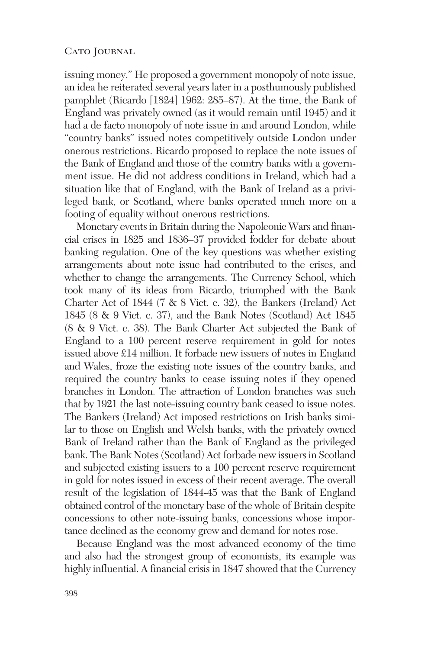issuing money." He proposed a government monopoly of note issue, an idea he reiterated several years later in a posthumously published pamphlet (Ricardo [1824] 1962: 285–87). At the time, the Bank of England was privately owned (as it would remain until 1945) and it had a de facto monopoly of note issue in and around London, while "country banks" issued notes competitively outside London under onerous restrictions. Ricardo proposed to replace the note issues of the Bank of England and those of the country banks with a government issue. He did not address conditions in Ireland, which had a situation like that of England, with the Bank of Ireland as a privileged bank, or Scotland, where banks operated much more on a footing of equality without onerous restrictions.

Monetary events in Britain during the Napoleonic Wars and financial crises in 1825 and 1836–37 provided fodder for debate about banking regulation. One of the key questions was whether existing arrangements about note issue had contributed to the crises, and whether to change the arrangements. The Currency School, which took many of its ideas from Ricardo, triumphed with the Bank Charter Act of 1844 (7 & 8 Vict. c. 32), the Bankers (Ireland) Act 1845 (8 & 9 Vict. c. 37), and the Bank Notes (Scotland) Act 1845 (8 & 9 Vict. c. 38). The Bank Charter Act subjected the Bank of England to a 100 percent reserve requirement in gold for notes issued above £14 million. It forbade new issuers of notes in England and Wales, froze the existing note issues of the country banks, and required the country banks to cease issuing notes if they opened branches in London. The attraction of London branches was such that by 1921 the last note-issuing country bank ceased to issue notes. The Bankers (Ireland) Act imposed restrictions on Irish banks similar to those on English and Welsh banks, with the privately owned Bank of Ireland rather than the Bank of England as the privileged bank. The Bank Notes (Scotland) Act forbade new issuers in Scotland and subjected existing issuers to a 100 percent reserve requirement in gold for notes issued in excess of their recent average. The overall result of the legislation of 1844-45 was that the Bank of England obtained control of the monetary base of the whole of Britain despite concessions to other note-issuing banks, concessions whose importance declined as the economy grew and demand for notes rose.

Because England was the most advanced economy of the time and also had the strongest group of economists, its example was highly influential. A financial crisis in 1847 showed that the Currency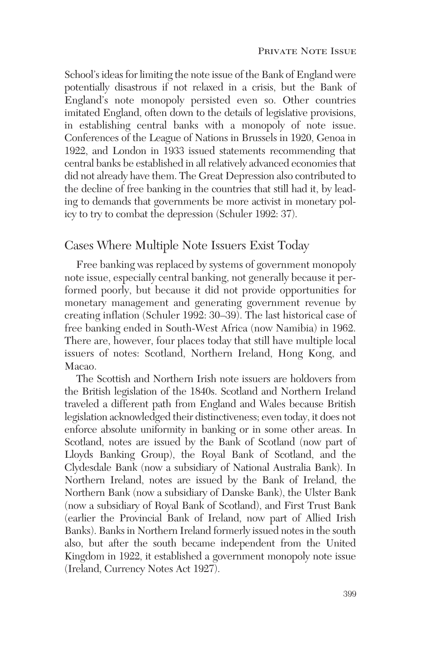School's ideas for limiting the note issue of the Bank of England were potentially disastrous if not relaxed in a crisis, but the Bank of England's note monopoly persisted even so. Other countries imitated England, often down to the details of legislative provisions, in establishing central banks with a monopoly of note issue. Conferences of the League of Nations in Brussels in 1920, Genoa in 1922, and London in 1933 issued statements recommending that central banks be established in all relatively advanced economies that did not already have them. The Great Depression also contributed to the decline of free banking in the countries that still had it, by leading to demands that governments be more activist in monetary policy to try to combat the depression (Schuler 1992: 37).

### Cases Where Multiple Note Issuers Exist Today

Free banking was replaced by systems of government monopoly note issue, especially central banking, not generally because it performed poorly, but because it did not provide opportunities for monetary management and generating government revenue by creating inflation (Schuler 1992: 30–39). The last historical case of free banking ended in South-West Africa (now Namibia) in 1962. There are, however, four places today that still have multiple local issuers of notes: Scotland, Northern Ireland, Hong Kong, and Macao.

The Scottish and Northern Irish note issuers are holdovers from the British legislation of the 1840s. Scotland and Northern Ireland traveled a different path from England and Wales because British legislation acknowledged their distinctiveness; even today, it does not enforce absolute uniformity in banking or in some other areas. In Scotland, notes are issued by the Bank of Scotland (now part of Lloyds Banking Group), the Royal Bank of Scotland, and the Clydesdale Bank (now a subsidiary of National Australia Bank). In Northern Ireland, notes are issued by the Bank of Ireland, the Northern Bank (now a subsidiary of Danske Bank), the Ulster Bank (now a subsidiary of Royal Bank of Scotland), and First Trust Bank (earlier the Provincial Bank of Ireland, now part of Allied Irish Banks). Banks in Northern Ireland formerly issued notes in the south also, but after the south became independent from the United Kingdom in 1922, it established a government monopoly note issue (Ireland, Currency Notes Act 1927).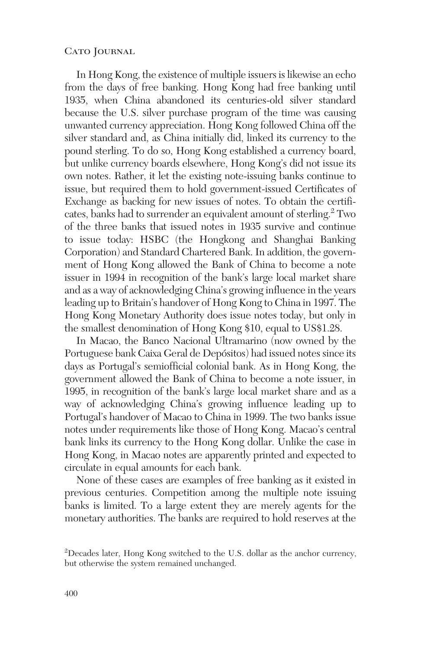In Hong Kong, the existence of multiple issuers is likewise an echo from the days of free banking. Hong Kong had free banking until 1935, when China abandoned its centuries-old silver standard because the U.S. silver purchase program of the time was causing unwanted currency appreciation. Hong Kong followed China off the silver standard and, as China initially did, linked its currency to the pound sterling. To do so, Hong Kong established a currency board, but unlike currency boards elsewhere, Hong Kong's did not issue its own notes. Rather, it let the existing note-issuing banks continue to issue, but required them to hold government-issued Certificates of Exchange as backing for new issues of notes. To obtain the certificates, banks had to surrender an equivalent amount of sterling.<sup>2</sup> Two of the three banks that issued notes in 1935 survive and continue to issue today: HSBC (the Hongkong and Shanghai Banking Corporation) and Standard Chartered Bank. In addition, the government of Hong Kong allowed the Bank of China to become a note issuer in 1994 in recognition of the bank's large local market share and as a way of acknowledging China's growing influence in the years leading up to Britain's handover of Hong Kong to China in 1997. The Hong Kong Monetary Authority does issue notes today, but only in the smallest denomination of Hong Kong \$10, equal to US\$1.28.

In Macao, the Banco Nacional Ultramarino (now owned by the Portuguese bank Caixa Geral de Depósitos) had issued notes since its days as Portugal's semiofficial colonial bank. As in Hong Kong, the government allowed the Bank of China to become a note issuer, in 1995, in recognition of the bank's large local market share and as a way of acknowledging China's growing influence leading up to Portugal's handover of Macao to China in 1999. The two banks issue notes under requirements like those of Hong Kong. Macao's central bank links its currency to the Hong Kong dollar. Unlike the case in Hong Kong, in Macao notes are apparently printed and expected to circulate in equal amounts for each bank.

None of these cases are examples of free banking as it existed in previous centuries. Competition among the multiple note issuing banks is limited. To a large extent they are merely agents for the monetary authorities. The banks are required to hold reserves at the

<sup>&</sup>lt;sup>2</sup>Decades later, Hong Kong switched to the U.S. dollar as the anchor currency, but otherwise the system remained unchanged.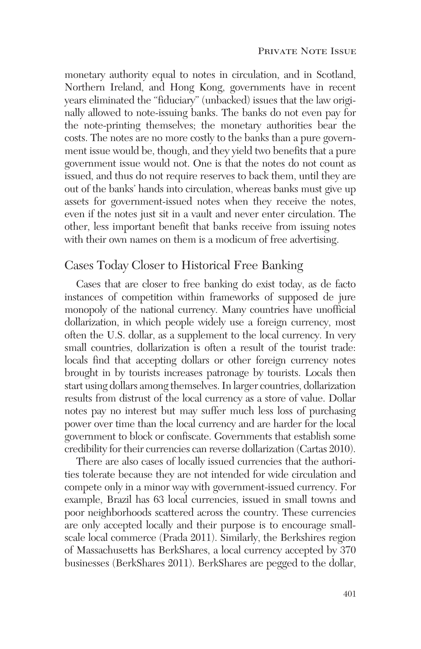monetary authority equal to notes in circulation, and in Scotland, Northern Ireland, and Hong Kong, governments have in recent years eliminated the "fiduciary" (unbacked) issues that the law originally allowed to note-issuing banks. The banks do not even pay for the note-printing themselves; the monetary authorities bear the costs. The notes are no more costly to the banks than a pure government issue would be, though, and they yield two benefits that a pure government issue would not. One is that the notes do not count as issued, and thus do not require reserves to back them, until they are out of the banks' hands into circulation, whereas banks must give up assets for government-issued notes when they receive the notes, even if the notes just sit in a vault and never enter circulation. The other, less important benefit that banks receive from issuing notes with their own names on them is a modicum of free advertising.

### Cases Today Closer to Historical Free Banking

Cases that are closer to free banking do exist today, as de facto instances of competition within frameworks of supposed de jure monopoly of the national currency. Many countries have unofficial dollarization, in which people widely use a foreign currency, most often the U.S. dollar, as a supplement to the local currency. In very small countries, dollarization is often a result of the tourist trade: locals find that accepting dollars or other foreign currency notes brought in by tourists increases patronage by tourists. Locals then start using dollars among themselves. In larger countries, dollarization results from distrust of the local currency as a store of value. Dollar notes pay no interest but may suffer much less loss of purchasing power over time than the local currency and are harder for the local government to block or confiscate. Governments that establish some credibility for their currencies can reverse dollarization (Cartas 2010).

There are also cases of locally issued currencies that the authorities tolerate because they are not intended for wide circulation and compete only in a minor way with government-issued currency. For example, Brazil has 63 local currencies, issued in small towns and poor neighborhoods scattered across the country. These currencies are only accepted locally and their purpose is to encourage smallscale local commerce (Prada 2011). Similarly, the Berkshires region of Massachusetts has BerkShares, a local currency accepted by 370 businesses (BerkShares 2011). BerkShares are pegged to the dollar,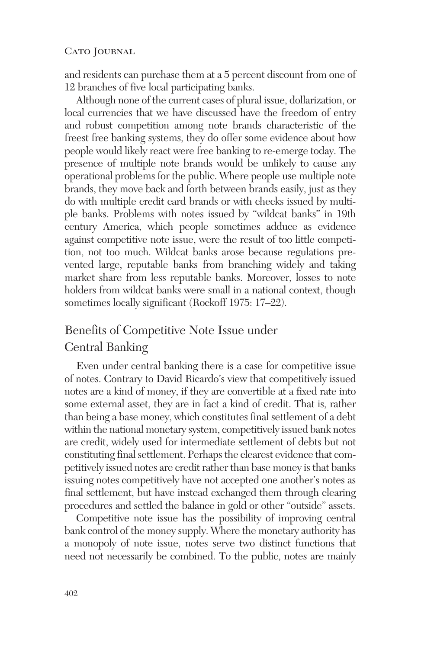and residents can purchase them at a 5 percent discount from one of 12 branches of five local participating banks.

Although none of the current cases of plural issue, dollarization, or local currencies that we have discussed have the freedom of entry and robust competition among note brands characteristic of the freest free banking systems, they do offer some evidence about how people would likely react were free banking to re-emerge today. The presence of multiple note brands would be unlikely to cause any operational problems for the public. Where people use multiple note brands, they move back and forth between brands easily, just as they do with multiple credit card brands or with checks issued by multiple banks. Problems with notes issued by "wildcat banks" in 19th century America, which people sometimes adduce as evidence against competitive note issue, were the result of too little competition, not too much. Wildcat banks arose because regulations prevented large, reputable banks from branching widely and taking market share from less reputable banks. Moreover, losses to note holders from wildcat banks were small in a national context, though sometimes locally significant (Rockoff 1975: 17–22).

## Benefits of Competitive Note Issue under Central Banking

Even under central banking there is a case for competitive issue of notes. Contrary to David Ricardo's view that competitively issued notes are a kind of money, if they are convertible at a fixed rate into some external asset, they are in fact a kind of credit. That is, rather than being a base money, which constitutes final settlement of a debt within the national monetary system, competitively issued bank notes are credit, widely used for intermediate settlement of debts but not constituting final settlement. Perhaps the clearest evidence that competitively issued notes are credit rather than base money is that banks issuing notes competitively have not accepted one another's notes as final settlement, but have instead exchanged them through clearing procedures and settled the balance in gold or other "outside" assets.

Competitive note issue has the possibility of improving central bank control of the money supply. Where the monetary authority has a monopoly of note issue, notes serve two distinct functions that need not necessarily be combined. To the public, notes are mainly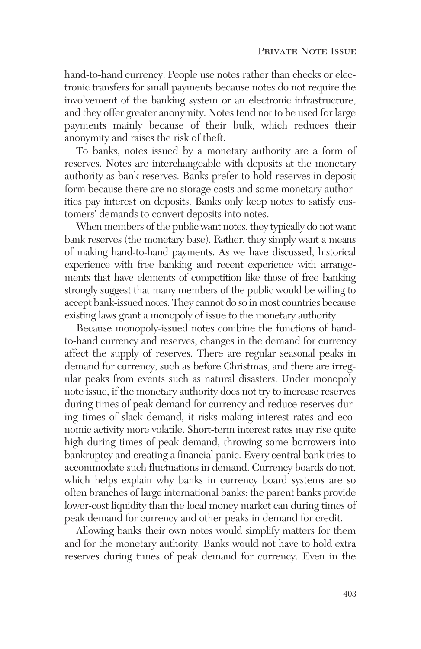hand-to-hand currency. People use notes rather than checks or electronic transfers for small payments because notes do not require the involvement of the banking system or an electronic infrastructure, and they offer greater anonymity. Notes tend not to be used for large payments mainly because of their bulk, which reduces their anonymity and raises the risk of theft.

To banks, notes issued by a monetary authority are a form of reserves. Notes are interchangeable with deposits at the monetary authority as bank reserves. Banks prefer to hold reserves in deposit form because there are no storage costs and some monetary authorities pay interest on deposits. Banks only keep notes to satisfy customers' demands to convert deposits into notes.

When members of the public want notes, they typically do not want bank reserves (the monetary base). Rather, they simply want a means of making hand-to-hand payments. As we have discussed, historical experience with free banking and recent experience with arrangements that have elements of competition like those of free banking strongly suggest that many members of the public would be willing to accept bank-issued notes. They cannot do so in most countries because existing laws grant a monopoly of issue to the monetary authority.

Because monopoly-issued notes combine the functions of handto-hand currency and reserves, changes in the demand for currency affect the supply of reserves. There are regular seasonal peaks in demand for currency, such as before Christmas, and there are irregular peaks from events such as natural disasters. Under monopoly note issue, if the monetary authority does not try to increase reserves during times of peak demand for currency and reduce reserves during times of slack demand, it risks making interest rates and economic activity more volatile. Short-term interest rates may rise quite high during times of peak demand, throwing some borrowers into bankruptcy and creating a financial panic. Every central bank tries to accommodate such fluctuations in demand. Currency boards do not, which helps explain why banks in currency board systems are so often branches of large international banks: the parent banks provide lower-cost liquidity than the local money market can during times of peak demand for currency and other peaks in demand for credit.

Allowing banks their own notes would simplify matters for them and for the monetary authority. Banks would not have to hold extra reserves during times of peak demand for currency. Even in the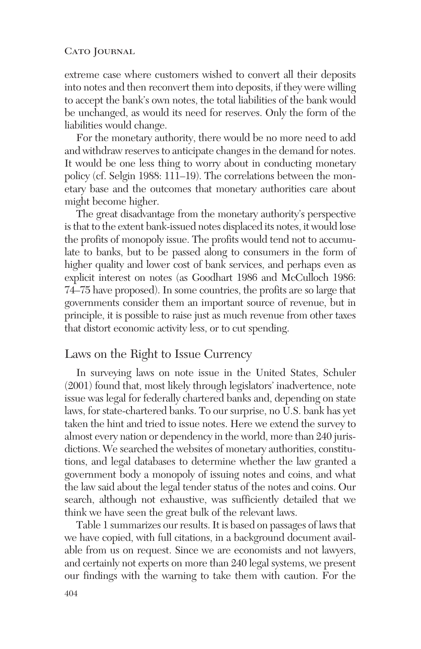extreme case where customers wished to convert all their deposits into notes and then reconvert them into deposits, if they were willing to accept the bank's own notes, the total liabilities of the bank would be unchanged, as would its need for reserves. Only the form of the liabilities would change.

For the monetary authority, there would be no more need to add and withdraw reserves to anticipate changes in the demand for notes. It would be one less thing to worry about in conducting monetary policy (cf. Selgin 1988: 111–19). The correlations between the monetary base and the outcomes that monetary authorities care about might become higher.

The great disadvantage from the monetary authority's perspective is that to the extent bank-issued notes displaced its notes, it would lose the profits of monopoly issue. The profits would tend not to accumulate to banks, but to be passed along to consumers in the form of higher quality and lower cost of bank services, and perhaps even as explicit interest on notes (as Goodhart 1986 and McCulloch 1986: 74–75 have proposed). In some countries, the profits are so large that governments consider them an important source of revenue, but in principle, it is possible to raise just as much revenue from other taxes that distort economic activity less, or to cut spending.

### Laws on the Right to Issue Currency

In surveying laws on note issue in the United States, Schuler (2001) found that, most likely through legislators' inadvertence, note issue was legal for federally chartered banks and, depending on state laws, for state-chartered banks. To our surprise, no U.S. bank has yet taken the hint and tried to issue notes. Here we extend the survey to almost every nation or dependency in the world, more than 240 jurisdictions. We searched the websites of monetary authorities, constitutions, and legal databases to determine whether the law granted a government body a monopoly of issuing notes and coins, and what the law said about the legal tender status of the notes and coins. Our search, although not exhaustive, was sufficiently detailed that we think we have seen the great bulk of the relevant laws.

Table 1 summarizes our results. It is based on passages of laws that we have copied, with full citations, in a background document available from us on request. Since we are economists and not lawyers, and certainly not experts on more than 240 legal systems, we present our findings with the warning to take them with caution. For the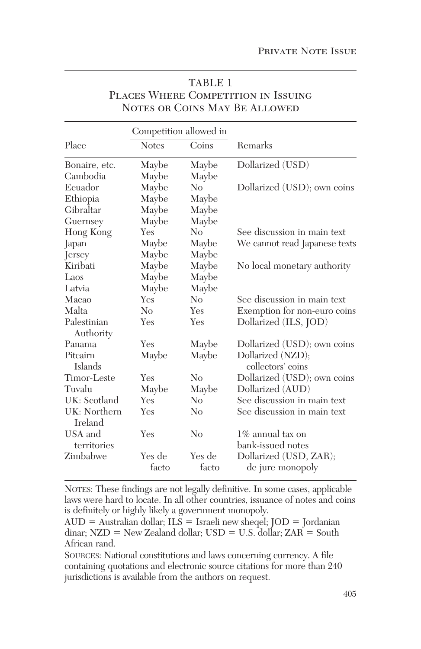|                                 | Competition allowed in |                |                                        |
|---------------------------------|------------------------|----------------|----------------------------------------|
| Place                           | <b>Notes</b>           | Coins          | <b>Remarks</b>                         |
| Bonaire, etc.                   | Maybe                  | Maybe          | Dollarized (USD)                       |
| Cambodia                        | Maybe                  | Maybe          |                                        |
| Ecuador                         | Maybe                  | N <sub>0</sub> | Dollarized (USD); own coins            |
| Ethiopia                        | Maybe                  | Maybe          |                                        |
| Gibraltar                       | Maybe                  | Maybe          |                                        |
| Guernsey                        | Maybe                  | Maybe          |                                        |
| Hong Kong                       | Yes                    | N <sub>0</sub> | See discussion in main text            |
| Japan                           | Maybe                  | Maybe          | We cannot read Japanese texts          |
| Jersey                          | Maybe                  | Maybe          |                                        |
| Kiribati                        | Maybe                  | Maybe          | No local monetary authority            |
| Laos                            | Maybe                  | Maybe          |                                        |
| Latvia                          | Maybe                  | Maybe          |                                        |
| Macao                           | Yes                    | N <sub>0</sub> | See discussion in main text            |
| Malta                           | No                     | Yes            | Exemption for non-euro coins           |
| Palestinian                     | Yes                    | Yes            | Dollarized (ILS, JOD)                  |
| Authority                       |                        |                |                                        |
| Panama                          | Yes                    | Maybe          | Dollarized (USD); own coins            |
| Pitcairn<br><b>Islands</b>      | Maybe                  | Maybe          | Dollarized (NZD);<br>collectors' coins |
| Timor-Leste                     | Yes                    | No             | Dollarized (USD); own coins            |
| Tuvalu                          | Maybe                  | Maybe          | Dollarized (AUD)                       |
| UK: Scotland                    | Yes                    | N <sub>0</sub> | See discussion in main text            |
| UK: Northern<br><b>I</b> reland | Yes                    | N <sub>0</sub> | See discussion in main text            |
| USA and                         | Yes                    | $\rm No$       | 1\% annual tax on                      |
| territories                     |                        |                | bank-issued notes                      |
| Zimbabwe                        | Yes de                 | Yes de         | Dollarized (USD, ZAR);                 |
|                                 | facto                  | facto          | de jure monopoly                       |

### TABLE 1 Places Where Competition in Issuing Notes or Coins May Be Allowed

NOTES: These findings are not legally definitive. In some cases, applicable laws were hard to locate. In all other countries, issuance of notes and coins is definitely or highly likely a government monopoly.

 $\text{AUD} = \text{Australian dollar}; \text{ILS} = \text{Israeli new sheepel}; \text{JOD} = \text{Jordanian}$ dinar; NZD = New Zealand dollar; USD = U.S. dollar; ZAR = South African rand.

SOURCES: National constitutions and laws concerning currency. A file containing quotations and electronic source citations for more than 240 jurisdictions is available from the authors on request.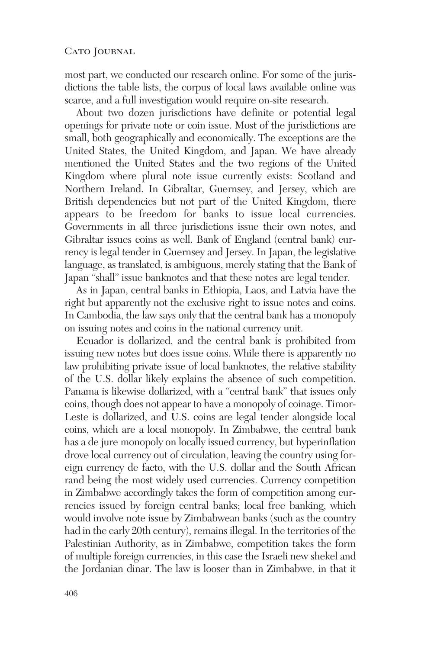most part, we conducted our research online. For some of the jurisdictions the table lists, the corpus of local laws available online was scarce, and a full investigation would require on-site research.

About two dozen jurisdictions have definite or potential legal openings for private note or coin issue. Most of the jurisdictions are small, both geographically and economically. The exceptions are the United States, the United Kingdom, and Japan. We have already mentioned the United States and the two regions of the United Kingdom where plural note issue currently exists: Scotland and Northern Ireland. In Gibraltar, Guernsey, and Jersey, which are British dependencies but not part of the United Kingdom, there appears to be freedom for banks to issue local currencies. Governments in all three jurisdictions issue their own notes, and Gibraltar issues coins as well. Bank of England (central bank) currency is legal tender in Guernsey and Jersey. In Japan, the legislative language, as translated, is ambiguous, merely stating that the Bank of Japan "shall" issue banknotes and that these notes are legal tender.

As in Japan, central banks in Ethiopia, Laos, and Latvia have the right but apparently not the exclusive right to issue notes and coins. In Cambodia, the law says only that the central bank has a monopoly on issuing notes and coins in the national currency unit.

Ecuador is dollarized, and the central bank is prohibited from issuing new notes but does issue coins. While there is apparently no law prohibiting private issue of local banknotes, the relative stability of the U.S. dollar likely explains the absence of such competition. Panama is likewise dollarized, with a "central bank" that issues only coins, though does not appear to have a monopoly of coinage. Timor-Leste is dollarized, and U.S. coins are legal tender alongside local coins, which are a local monopoly. In Zimbabwe, the central bank has a de jure monopoly on locally issued currency, but hyperinflation drove local currency out of circulation, leaving the country using foreign currency de facto, with the U.S. dollar and the South African rand being the most widely used currencies. Currency competition in Zimbabwe accordingly takes the form of competition among currencies issued by foreign central banks; local free banking, which would involve note issue by Zimbabwean banks (such as the country had in the early 20th century), remains illegal. In the territories of the Palestinian Authority, as in Zimbabwe, competition takes the form of multiple foreign currencies, in this case the Israeli new shekel and the Jordanian dinar. The law is looser than in Zimbabwe, in that it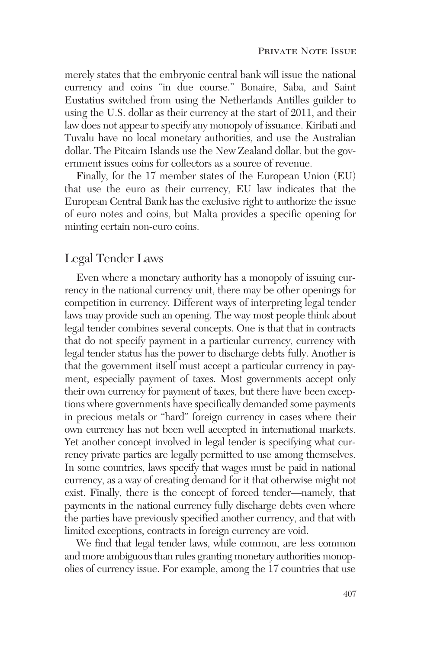merely states that the embryonic central bank will issue the national currency and coins "in due course." Bonaire, Saba, and Saint Eustatius switched from using the Netherlands Antilles guilder to using the U.S. dollar as their currency at the start of 2011, and their law does not appear to specify any monopoly of issuance. Kiribati and Tuvalu have no local monetary authorities, and use the Australian dollar. The Pitcairn Islands use the New Zealand dollar, but the government issues coins for collectors as a source of revenue.

Finally, for the 17 member states of the European Union (EU) that use the euro as their currency, EU law indicates that the European Central Bank has the exclusive right to authorize the issue of euro notes and coins, but Malta provides a specific opening for minting certain non-euro coins.

### Legal Tender Laws

Even where a monetary authority has a monopoly of issuing currency in the national currency unit, there may be other openings for competition in currency. Different ways of interpreting legal tender laws may provide such an opening. The way most people think about legal tender combines several concepts. One is that that in contracts that do not specify payment in a particular currency, currency with legal tender status has the power to discharge debts fully. Another is that the government itself must accept a particular currency in payment, especially payment of taxes. Most governments accept only their own currency for payment of taxes, but there have been exceptions where governments have specifically demanded some payments in precious metals or "hard" foreign currency in cases where their own currency has not been well accepted in international markets. Yet another concept involved in legal tender is specifying what currency private parties are legally permitted to use among themselves. In some countries, laws specify that wages must be paid in national currency, as a way of creating demand for it that otherwise might not exist. Finally, there is the concept of forced tender—namely, that payments in the national currency fully discharge debts even where the parties have previously specified another currency, and that with limited exceptions, contracts in foreign currency are void.

We find that legal tender laws, while common, are less common and more ambiguous than rules granting monetary authorities monopolies of currency issue. For example, among the 17 countries that use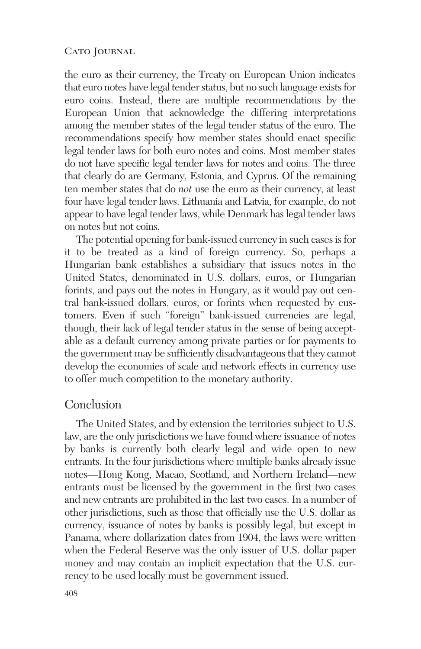the euro as their currency, the Treaty on European Union indicates that euro notes have legal tender status, but no such language exists for euro coins. Instead, there are multiple recommendations by the European Union that acknowledge the differing interpretations among the member states of the legal tender status of the euro. The recommendations specify how member states should enact specific legal tender laws for both euro notes and coins. Most member states do not have specific legal tender laws for notes and coins. The three that clearly do are Germany, Estonia, and Cyprus. Of the remaining ten member states that do *not* use the euro as their currency, at least four have legal tender laws. Lithuania and Latvia, for example, do not appear to have legal tender laws, while Denmark has legal tender laws on notes but not coins.

The potential opening for bank-issued currency in such cases is for it to be treated as a kind of foreign currency. So, perhaps a Hungarian bank establishes a subsidiary that issues notes in the United States, denominated in U.S. dollars, euros, or Hungarian forints, and pays out the notes in Hungary, as it would pay out central bank-issued dollars, euros, or forints when requested by customers. Even if such "foreign" bank-issued currencies are legal, though, their lack of legal tender status in the sense of being acceptable as a default currency among private parties or for payments to the government may be sufficiently disadvantageous that they cannot develop the economies of scale and network effects in currency use to offer much competition to the monetary authority.

### Conclusion

The United States, and by extension the territories subject to U.S. law, are the only jurisdictions we have found where issuance of notes by banks is currently both clearly legal and wide open to new entrants. In the four jurisdictions where multiple banks already issue notes—Hong Kong, Macao, Scotland, and Northern Ireland—new entrants must be licensed by the government in the first two cases and new entrants are prohibited in the last two cases. In a number of other jurisdictions, such as those that officially use the U.S. dollar as currency, issuance of notes by banks is possibly legal, but except in Panama, where dollarization dates from 1904, the laws were written when the Federal Reserve was the only issuer of U.S. dollar paper money and may contain an implicit expectation that the U.S. currency to be used locally must be government issued.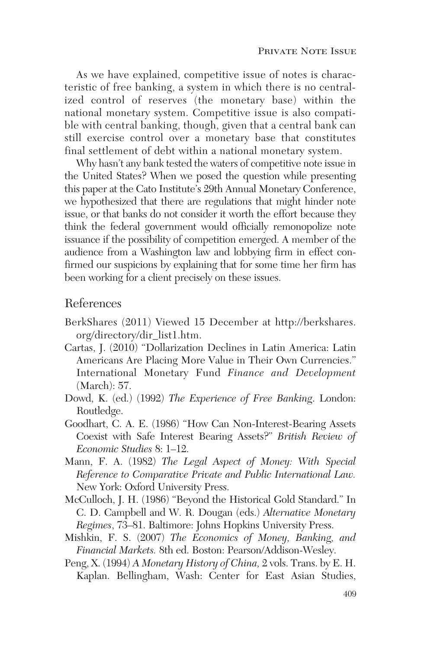As we have explained, competitive issue of notes is characteristic of free banking, a system in which there is no centralized control of reserves (the monetary base) within the national monetary system. Competitive issue is also compatible with central banking, though, given that a central bank can still exercise control over a monetary base that constitutes final settlement of debt within a national monetary system.

Why hasn't any bank tested the waters of competitive note issue in the United States? When we posed the question while presenting this paper at the Cato Institute's 29th Annual Monetary Conference, we hypothesized that there are regulations that might hinder note issue, or that banks do not consider it worth the effort because they think the federal government would officially remonopolize note issuance if the possibility of competition emerged. A member of the audience from a Washington law and lobbying firm in effect confirmed our suspicions by explaining that for some time her firm has been working for a client precisely on these issues.

### References

- BerkShares (2011) Viewed 15 December at http://berkshares. org/directory/dir\_list1.htm.
- Cartas, J. (2010) "Dollarization Declines in Latin America: Latin Americans Are Placing More Value in Their Own Currencies." International Monetary Fund *Finance and Development* (March): 57.
- Dowd, K. (ed.) (1992) *The Experience of Free Banking*. London: Routledge.
- Goodhart, C. A. E. (1986) "How Can Non-Interest-Bearing Assets Coexist with Safe Interest Bearing Assets?" *British Review of Economic Studies* 8: 1–12.
- Mann, F. A. (1982) *The Legal Aspect of Money: With Special Reference to Comparative Private and Public International Law.* New York: Oxford University Press.
- McCulloch, J. H. (1986) "Beyond the Historical Gold Standard." In C. D. Campbell and W. R. Dougan (eds.) *Alternative Monetary Regimes*, 73–81. Baltimore: Johns Hopkins University Press.
- Mishkin, F. S. (2007) *The Economics of Money, Banking, and Financial Markets.* 8th ed. Boston: Pearson/Addison-Wesley.
- Peng, X. (1994) *A Monetary History of China,* 2 vols. Trans. by E. H. Kaplan. Bellingham, Wash: Center for East Asian Studies,